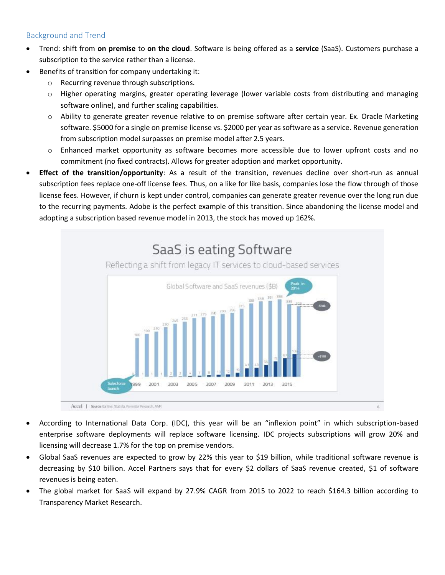## Background and Trend

- Trend: shift from **on premise** to **on the cloud**. Software is being offered as a **service** (SaaS). Customers purchase a subscription to the service rather than a license.
- Benefits of transition for company undertaking it:
	- o Recurring revenue through subscriptions.
	- $\circ$  Higher operating margins, greater operating leverage (lower variable costs from distributing and managing software online), and further scaling capabilities.
	- $\circ$  Ability to generate greater revenue relative to on premise software after certain year. Ex. Oracle Marketing software. \$5000 for a single on premise license vs. \$2000 per year as software as a service. Revenue generation from subscription model surpasses on premise model after 2.5 years.
	- o Enhanced market opportunity as software becomes more accessible due to lower upfront costs and no commitment (no fixed contracts). Allows for greater adoption and market opportunity.
- **Effect of the transition/opportunity**: As a result of the transition, revenues decline over short-run as annual subscription fees replace one-off license fees. Thus, on a like for like basis, companies lose the flow through of those license fees. However, if churn is kept under control, companies can generate greater revenue over the long run due to the recurring payments. Adobe is the perfect example of this transition. Since abandoning the license model and adopting a subscription based revenue model in 2013, the stock has moved up 162%.



- According to International Data Corp. (IDC), this year will be an "inflexion point" in which subscription-based enterprise software deployments will replace software licensing. IDC projects subscriptions will grow 20% and licensing will decrease 1.7% for the top on premise vendors.
- Global SaaS revenues are expected to grow by 22% this year to \$19 billion, while traditional software revenue is decreasing by \$10 billion. Accel Partners says that for every \$2 dollars of SaaS revenue created, \$1 of software revenues is being eaten.
- The global market for SaaS will expand by 27.9% CAGR from 2015 to 2022 to reach \$164.3 billion according to Transparency Market Research.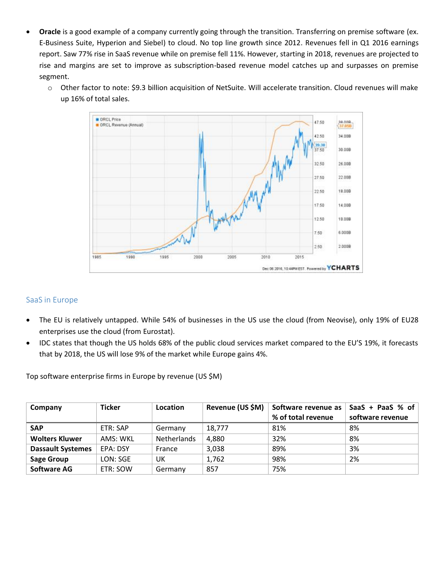- **Oracle** is a good example of a company currently going through the transition. Transferring on premise software (ex. E-Business Suite, Hyperion and Siebel) to cloud. No top line growth since 2012. Revenues fell in Q1 2016 earnings report. Saw 77% rise in SaaS revenue while on premise fell 11%. However, starting in 2018, revenues are projected to rise and margins are set to improve as subscription-based revenue model catches up and surpasses on premise segment.
	- o Other factor to note: \$9.3 billion acquisition of NetSuite. Will accelerate transition. Cloud revenues will make up 16% of total sales.



## SaaS in Europe

- The EU is relatively untapped. While 54% of businesses in the US use the cloud (from Neovise), only 19% of EU28 enterprises use the cloud (from Eurostat).
- IDC states that though the US holds 68% of the public cloud services market compared to the EU'S 19%, it forecasts that by 2018, the US will lose 9% of the market while Europe gains 4%.

| Company                  | <b>Ticker</b> | Location           | Revenue (US \$M) | Software revenue as<br>% of total revenue | SaaS + PaaS % of<br>software revenue |
|--------------------------|---------------|--------------------|------------------|-------------------------------------------|--------------------------------------|
| <b>SAP</b>               | ETR: SAP      | Germany            | 18,777           | 81%                                       | 8%                                   |
| <b>Wolters Kluwer</b>    | AMS: WKL      | <b>Netherlands</b> | 4,880            | 32%                                       | 8%                                   |
| <b>Dassault Systemes</b> | EPA: DSY      | France             | 3,038            | 89%                                       | 3%                                   |
| <b>Sage Group</b>        | LON: SGE      | UK                 | 1,762            | 98%                                       | 2%                                   |
| <b>Software AG</b>       | ETR: SOW      | Germany            | 857              | 75%                                       |                                      |

Top software enterprise firms in Europe by revenue (US \$M)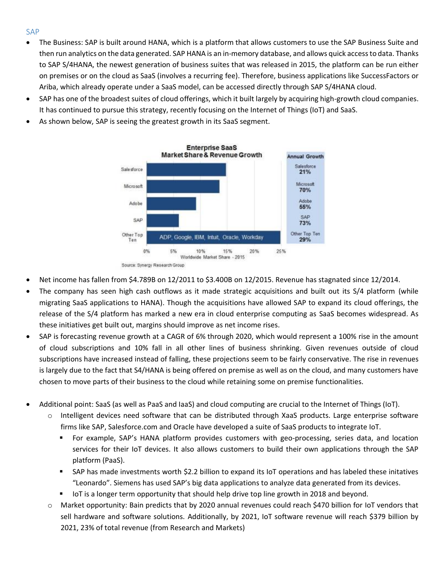## SAP

- The Business: SAP is built around HANA, which is a platform that allows customers to use the SAP Business Suite and then run analytics on the data generated. SAP HANA is an in-memory database, and allows quick access to data. Thanks to SAP S/4HANA, the newest generation of business suites that was released in 2015, the platform can be run either on premises or on the cloud as SaaS (involves a recurring fee). Therefore, business applications like SuccessFactors or Ariba, which already operate under a SaaS model, can be accessed directly through SAP S/4HANA cloud.
- SAP has one of the broadest suites of cloud offerings, which it built largely by acquiring high-growth cloud companies. It has continued to pursue this strategy, recently focusing on the Internet of Things (IoT) and SaaS.
- As shown below, SAP is seeing the greatest growth in its SaaS segment.



- Net income has fallen from \$4.789B on 12/2011 to \$3.400B on 12/2015. Revenue has stagnated since 12/2014.
- The company has seen high cash outflows as it made strategic acquisitions and built out its S/4 platform (while migrating SaaS applications to HANA). Though the acquisitions have allowed SAP to expand its cloud offerings, the release of the S/4 platform has marked a new era in cloud enterprise computing as SaaS becomes widespread. As these initiatives get built out, margins should improve as net income rises.
- SAP is forecasting revenue growth at a CAGR of 6% through 2020, which would represent a 100% rise in the amount of cloud subscriptions and 10% fall in all other lines of business shrinking. Given revenues outside of cloud subscriptions have increased instead of falling, these projections seem to be fairly conservative. The rise in revenues is largely due to the fact that S4/HANA is being offered on premise as well as on the cloud, and many customers have chosen to move parts of their business to the cloud while retaining some on premise functionalities.
- Additional point: SaaS (as well as PaaS and IaaS) and cloud computing are crucial to the Internet of Things (IoT).
	- o Intelligent devices need software that can be distributed through XaaS products. Large enterprise software firms like SAP, Salesforce.com and Oracle have developed a suite of SaaS products to integrate IoT.
		- For example, SAP's HANA platform provides customers with geo-processing, series data, and location services for their IoT devices. It also allows customers to build their own applications through the SAP platform (PaaS).
		- SAP has made investments worth \$2.2 billion to expand its IoT operations and has labeled these initatives "Leonardo". Siemens has used SAP's big data applications to analyze data generated from its devices.
		- **■** IoT is a longer term opportunity that should help drive top line growth in 2018 and beyond.
	- o Market opportunity: Bain predicts that by 2020 annual revenues could reach \$470 billion for IoT vendors that sell hardware and software solutions. Additionally, by 2021, IoT software revenue will reach \$379 billion by 2021, 23% of total revenue (from Research and Markets)